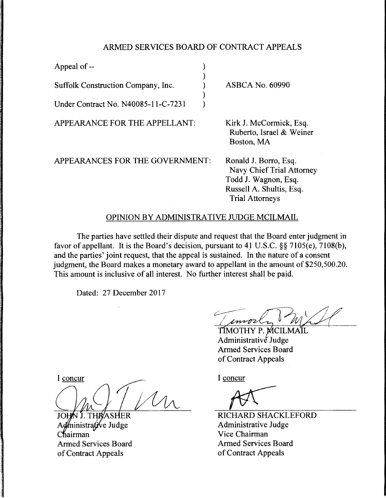## ARMED SERVICES BOARD OF CONTRACT APPEALS

| Appeal of --                        |                                                                                                                                  |
|-------------------------------------|----------------------------------------------------------------------------------------------------------------------------------|
| Suffolk Construction Company, Inc.  | <b>ASBCA No. 60990</b>                                                                                                           |
| Under Contract No. N40085-11-C-7231 |                                                                                                                                  |
| APPEARANCE FOR THE APPELLANT:       | Kirk J. McCormick, Esq.<br>Ruberto, Israel & Weiner<br>Boston, MA                                                                |
| APPEARANCES FOR THE GOVERNMENT:     | Ronald J. Borro, Esq.<br>Navy Chief Trial Attorney<br>Todd J. Wagnon, Esq.<br>Russell A. Shultis, Esq.<br><b>Trial Attorneys</b> |

## OPINION BY ADMINISTRATIVE JUDGE MCILMAIL

The parties have settled their dispute and request that the Board enter judgment in favor of appellant. It is the Board's decision, pursuant to 4J U.S.C. §§ 7105(e), 7108(b), and the parties' joint request, that the appeal is sustained. In the nature of a consent judgment, the Board makes a monetary award to appellant in the amount of \$250,500.20. This amount is inclusive of all interest. No further interest shall be paid.

Dated: 27 December 2017

( encore)

Administrative Judge Armed Services Board of Contract Appeals

I concur

SHER **JOH** J. THR ministra*ți*ve Judge Chairman Armed Services Board of Contract Appeals

I concur

RICHARD SHACKLEFORD Administrative Judge Vice Chairman Armed Services Board of Contract Appeals